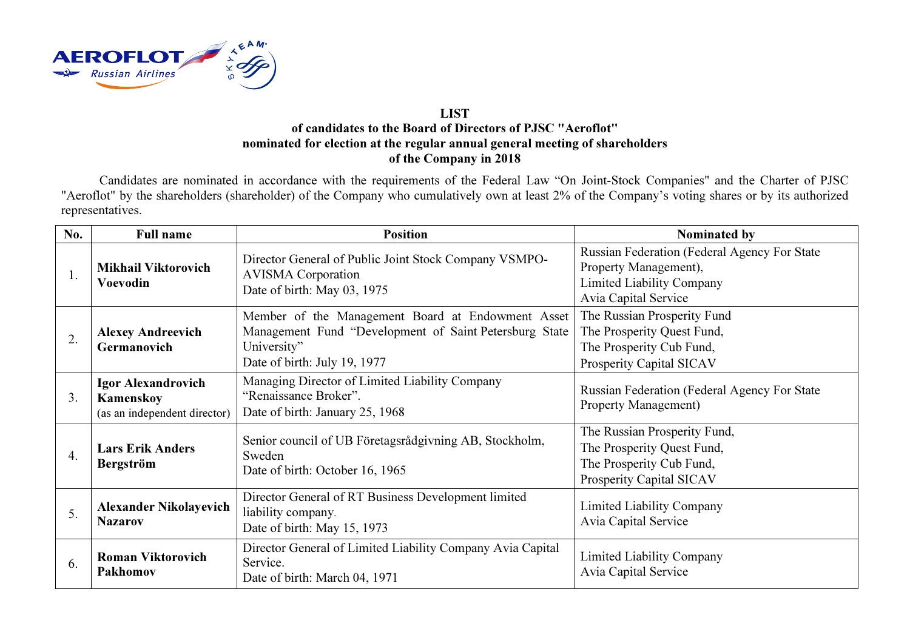

## LIST of candidates to the Board of Directors of PJSC "Aeroflot" nominated for election at the regular annual general meeting of shareholdersof the Company in 2018

Candidates are nominated in accordance with the requirements of the Federal Law "On Joint-Stock Companies" and the Charter of PJSC "Aeroflot" by the shareholders (shareholder) of the Company who cumulatively own at least 2% of the Company's voting shares or by its authorized representatives.

| No.              | <b>Full name</b>                                                       | <b>Position</b>                                                                                                                                            | Nominated by                                                                                                                      |
|------------------|------------------------------------------------------------------------|------------------------------------------------------------------------------------------------------------------------------------------------------------|-----------------------------------------------------------------------------------------------------------------------------------|
| 1.               | <b>Mikhail Viktorovich</b><br><b>Voevodin</b>                          | Director General of Public Joint Stock Company VSMPO-<br><b>AVISMA</b> Corporation<br>Date of birth: May 03, 1975                                          | Russian Federation (Federal Agency For State<br>Property Management),<br><b>Limited Liability Company</b><br>Avia Capital Service |
| $\overline{2}$ . | <b>Alexey Andreevich</b><br>Germanovich                                | Member of the Management Board at Endowment Asset<br>Management Fund "Development of Saint Petersburg State<br>University"<br>Date of birth: July 19, 1977 | The Russian Prosperity Fund<br>The Prosperity Quest Fund,<br>The Prosperity Cub Fund,<br>Prosperity Capital SICAV                 |
| 3.               | <b>Igor Alexandrovich</b><br>Kamenskoy<br>(as an independent director) | Managing Director of Limited Liability Company<br>"Renaissance Broker".<br>Date of birth: January 25, 1968                                                 | Russian Federation (Federal Agency For State<br>Property Management)                                                              |
| 4.               | <b>Lars Erik Anders</b><br><b>Bergström</b>                            | Senior council of UB Företagsrådgivning AB, Stockholm,<br>Sweden<br>Date of birth: October 16, 1965                                                        | The Russian Prosperity Fund,<br>The Prosperity Quest Fund,<br>The Prosperity Cub Fund,<br><b>Prosperity Capital SICAV</b>         |
| 5.               | <b>Alexander Nikolayevich</b><br><b>Nazarov</b>                        | Director General of RT Business Development limited<br>liability company.<br>Date of birth: May 15, 1973                                                   | <b>Limited Liability Company</b><br>Avia Capital Service                                                                          |
| 6.               | <b>Roman Viktorovich</b><br>Pakhomov                                   | Director General of Limited Liability Company Avia Capital<br>Service.<br>Date of birth: March 04, 1971                                                    | <b>Limited Liability Company</b><br>Avia Capital Service                                                                          |